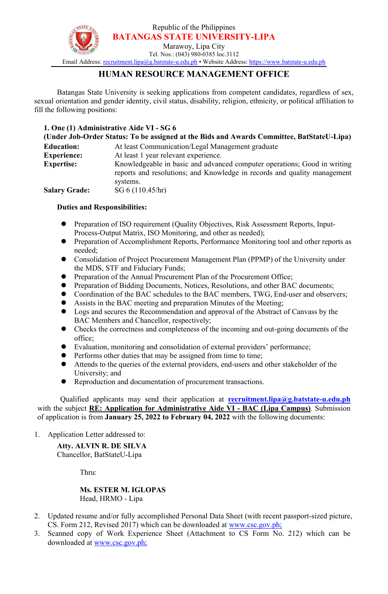Republic of the Philippines **BATANGAS STATE UNIVERSITY-LIPA**



Marawoy, Lipa City Tel. Nos.: (043) 980-0385 loc.3112

Email Address: [recruitment.lipa@g.batstate-u.edu.ph](mailto:recruitment.lipa@g.batstate-u.edu.ph) • Website Address: [https://www.batstate-u.edu.ph](http://www.batstate-u.edu.ph)

# **HUMAN RESOURCE MANAGEMENT OFFICE**

Batangas State University is seeking applications from competent candidates, regardless of sex, sexual orientation and gender identity, civil status, disability, religion, ethnicity, or political affiliation to fill the following positions:

### **1. One (1) Administrative Aide VI - SG 6**

| (Under Job-Order Status: To be assigned at the Bids and Awards Committee, BatStateU-Lipa) |                                                                                                                                                      |
|-------------------------------------------------------------------------------------------|------------------------------------------------------------------------------------------------------------------------------------------------------|
| <b>Education:</b>                                                                         | At least Communication/Legal Management graduate                                                                                                     |
| <b>Experience:</b>                                                                        | At least 1 year relevant experience.                                                                                                                 |
| <b>Expertise:</b>                                                                         | Knowledgeable in basic and advanced computer operations; Good in writing<br>reports and resolutions; and Knowledge in records and quality management |
|                                                                                           | systems.                                                                                                                                             |
| <b>Salary Grade:</b>                                                                      | SG $6(110.45/hr)$                                                                                                                                    |

#### **Duties and Responsibilities:**

- Preparation of ISO requirement (Quality Objectives, Risk Assessment Reports, Input-Process-Output Matrix, ISO Monitoring, and other as needed);
- Preparation of Accomplishment Reports, Performance Monitoring tool and other reports as needed;
- Consolidation of Project Procurement Management Plan (PPMP) of the University under the MDS, STF and Fiduciary Funds;
- Preparation of the Annual Procurement Plan of the Procurement Office;
- Preparation of Bidding Documents, Notices, Resolutions, and other BAC documents;
- Coordination of the BAC schedules to the BAC members, TWG, End-user and observers;
- Assists in the BAC meeting and preparation Minutes of the Meeting;
- Logs and secures the Recommendation and approval of the Abstract of Canvass by the BAC Members and Chancellor, respectively;
- Checks the correctness and completeness of the incoming and out-going documents of the office;
- Evaluation, monitoring and consolidation of external providers' performance;
- **•** Performs other duties that may be assigned from time to time;
- Attends to the queries ofthe external providers, end-users and other stakeholder of the University; and
- Reproduction and documentation of procurement transactions.

Qualified applicants may send their application at **[recruitment.lipa@g.batstate-u.edu.ph](mailto:recruitment.lipa@g.batstate-u.edu.ph)** with the subject**RE: Application for Administrative Aide VI -BAC (Lipa Campus)**. Submission of application is from **January 25, 2022 to February 04, 2022** with the following documents:

1. Application Letter addressed to:

# **Atty. ALVIN R. DE SILVA** Chancellor, BatStateU-Lipa

Thru:

## **Ms. ESTER M. IGLOPAS** Head, HRMO - Lipa

- 2. Updated resume and/or fully accomplished Personal Data Sheet (with recent passport-sized picture, CS. Form 212, Revised 2017) which can be downloaded at [www.csc.gov.ph;](http://www.csc.gov.ph;)
- 3. Scanned copy of Work Experience Sheet (Attachment to CS Form No. 212) which can be downloaded at [www.csc.gov.ph;](http://www.csc.gov.ph;)